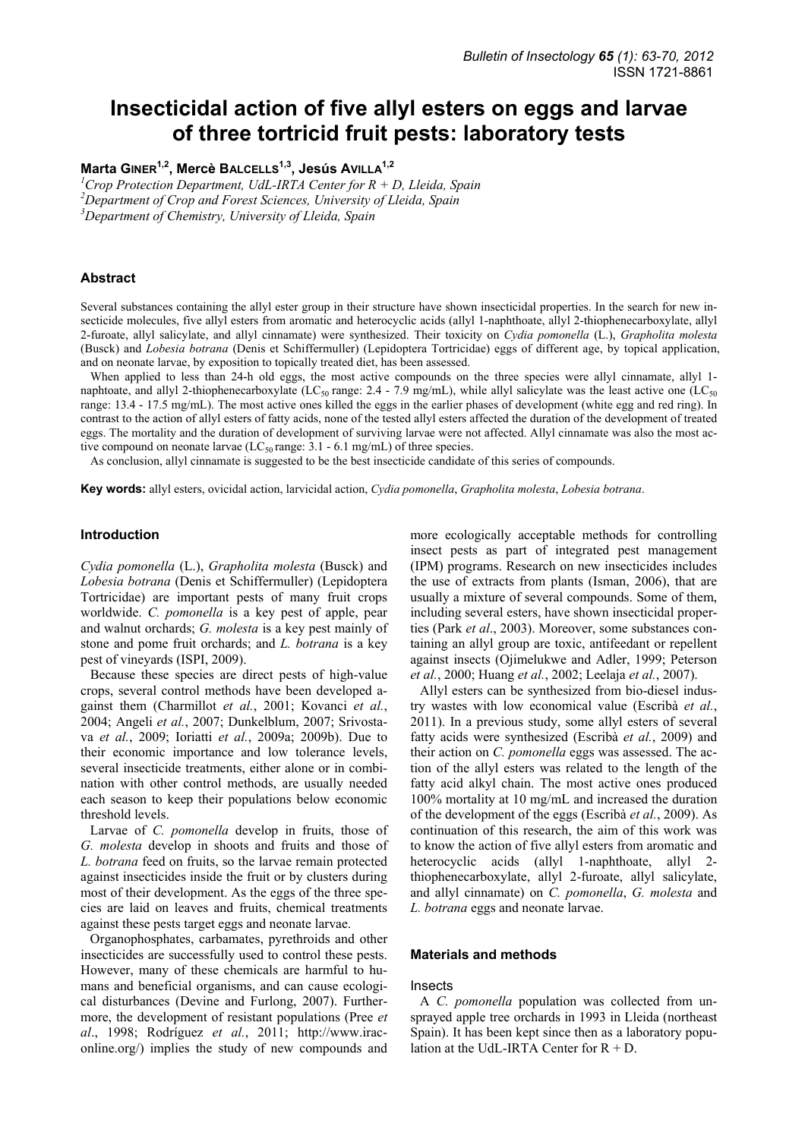# **Insecticidal action of five allyl esters on eggs and larvae of three tortricid fruit pests: laboratory tests**

Marta GINER<sup>1,2</sup>, Mercè BALCELLS<sup>1,3</sup>, Jesús AVILLA<sup>1,2</sup>

*1 Crop Protection Department, UdL-IRTA Center for R + D, Lleida, Spain* 

*2 Department of Crop and Forest Sciences, University of Lleida, Spain* 

*3 Department of Chemistry, University of Lleida, Spain* 

# **Abstract**

Several substances containing the allyl ester group in their structure have shown insecticidal properties. In the search for new insecticide molecules, five allyl esters from aromatic and heterocyclic acids (allyl 1-naphthoate, allyl 2-thiophenecarboxylate, allyl 2-furoate, allyl salicylate, and allyl cinnamate) were synthesized. Their toxicity on *Cydia pomonella* (L.), *Grapholita molesta* (Busck) and *Lobesia botrana* (Denis et Schiffermuller) (Lepidoptera Tortricidae) eggs of different age, by topical application, and on neonate larvae, by exposition to topically treated diet, has been assessed.

When applied to less than 24-h old eggs, the most active compounds on the three species were allyl cinnamate, allyl 1naphtoate, and allyl 2-thiophenecarboxylate (LC<sub>50</sub> range: 2.4 - 7.9 mg/mL), while allyl salicylate was the least active one (LC<sub>50</sub>) range: 13.4 - 17.5 mg/mL). The most active ones killed the eggs in the earlier phases of development (white egg and red ring). In contrast to the action of allyl esters of fatty acids, none of the tested allyl esters affected the duration of the development of treated eggs. The mortality and the duration of development of surviving larvae were not affected. Allyl cinnamate was also the most active compound on neonate larvae ( $LC_{50}$  range: 3.1 - 6.1 mg/mL) of three species.

As conclusion, allyl cinnamate is suggested to be the best insecticide candidate of this series of compounds.

**Key words:** allyl esters, ovicidal action, larvicidal action, *Cydia pomonella*, *Grapholita molesta*, *Lobesia botrana*.

# **Introduction**

*Cydia pomonella* (L.), *Grapholita molesta* (Busck) and *Lobesia botrana* (Denis et Schiffermuller) (Lepidoptera Tortricidae) are important pests of many fruit crops worldwide. *C. pomonella* is a key pest of apple, pear and walnut orchards; *G. molesta* is a key pest mainly of stone and pome fruit orchards; and *L. botrana* is a key pest of vineyards (ISPI, 2009).

Because these species are direct pests of high-value crops, several control methods have been developed against them (Charmillot *et al.*, 2001; Kovanci *et al.*, 2004; Angeli *et al.*, 2007; Dunkelblum, 2007; Srivostava *et al.*, 2009; Ioriatti *et al.*, 2009a; 2009b). Due to their economic importance and low tolerance levels, several insecticide treatments, either alone or in combination with other control methods, are usually needed each season to keep their populations below economic threshold levels.

Larvae of *C. pomonella* develop in fruits, those of *G. molesta* develop in shoots and fruits and those of *L. botrana* feed on fruits, so the larvae remain protected against insecticides inside the fruit or by clusters during most of their development. As the eggs of the three species are laid on leaves and fruits, chemical treatments against these pests target eggs and neonate larvae.

Organophosphates, carbamates, pyrethroids and other insecticides are successfully used to control these pests. However, many of these chemicals are harmful to humans and beneficial organisms, and can cause ecological disturbances (Devine and Furlong, 2007). Furthermore, the development of resistant populations (Pree *et al*., 1998; Rodríguez *et al.*, 2011; http://www.iraconline.org/) implies the study of new compounds and

more ecologically acceptable methods for controlling insect pests as part of integrated pest management (IPM) programs. Research on new insecticides includes the use of extracts from plants (Isman, 2006), that are usually a mixture of several compounds. Some of them, including several esters, have shown insecticidal properties (Park *et al*., 2003). Moreover, some substances containing an allyl group are toxic, antifeedant or repellent against insects (Ojimelukwe and Adler, 1999; Peterson *et al.*, 2000; Huang *et al.*, 2002; Leelaja *et al.*, 2007).

Allyl esters can be synthesized from bio-diesel industry wastes with low economical value (Escribà *et al.*, 2011). In a previous study, some allyl esters of several fatty acids were synthesized (Escribà *et al.*, 2009) and their action on *C. pomonella* eggs was assessed. The action of the allyl esters was related to the length of the fatty acid alkyl chain. The most active ones produced 100% mortality at 10 mg/mL and increased the duration of the development of the eggs (Escribà *et al.*, 2009). As continuation of this research, the aim of this work was to know the action of five allyl esters from aromatic and heterocyclic acids (allyl 1-naphthoate, allyl 2thiophenecarboxylate, allyl 2-furoate, allyl salicylate, and allyl cinnamate) on *C. pomonella*, *G. molesta* and *L. botrana* eggs and neonate larvae.

# **Materials and methods**

#### Insects

A *C. pomonella* population was collected from unsprayed apple tree orchards in 1993 in Lleida (northeast Spain). It has been kept since then as a laboratory population at the UdL-IRTA Center for  $R + D$ .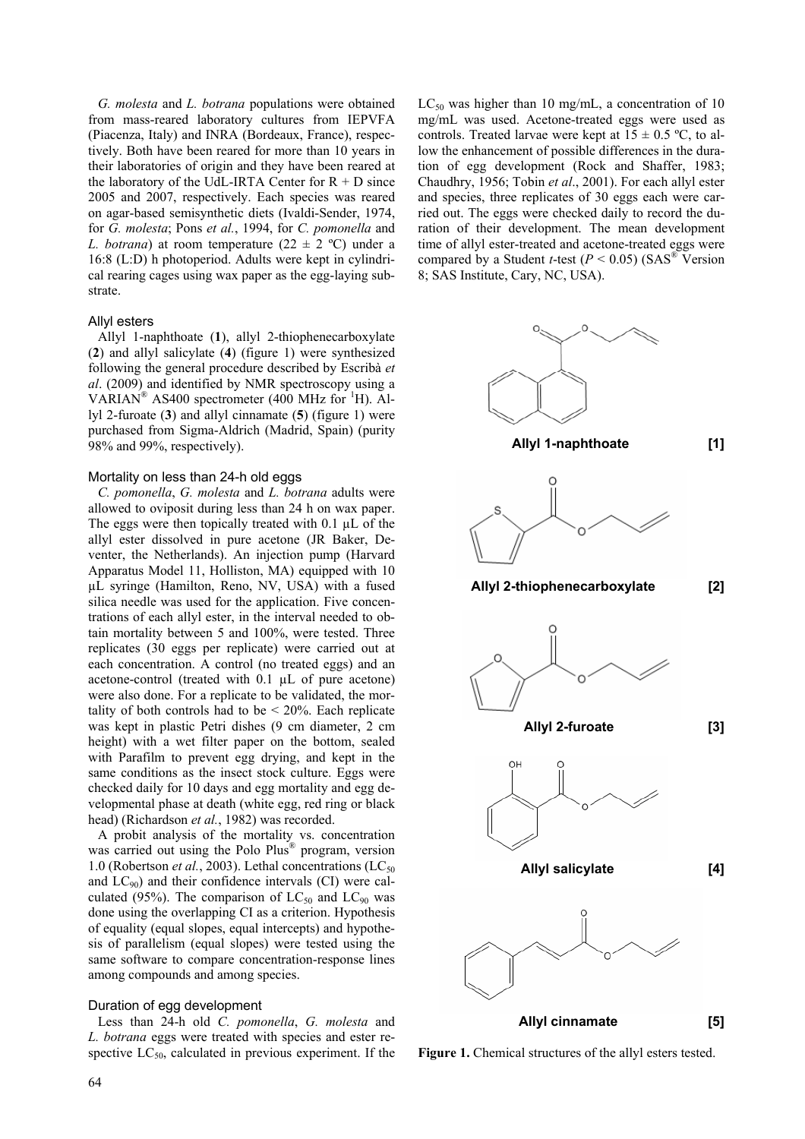*G. molesta* and *L. botrana* populations were obtained from mass-reared laboratory cultures from IEPVFA (Piacenza, Italy) and INRA (Bordeaux, France), respectively. Both have been reared for more than 10 years in their laboratories of origin and they have been reared at the laboratory of the UdL-IRTA Center for  $R + D$  since 2005 and 2007, respectively. Each species was reared on agar-based semisynthetic diets (Ivaldi-Sender, 1974, for *G. molesta*; Pons *et al.*, 1994, for *C. pomonella* and *L. botrana*) at room temperature  $(22 \pm 2 \degree C)$  under a 16:8 (L:D) h photoperiod. Adults were kept in cylindrical rearing cages using wax paper as the egg-laying substrate.

# Allyl esters

Allyl 1-naphthoate (**1**), allyl 2-thiophenecarboxylate (**2**) and allyl salicylate (**4**) (figure 1) were synthesized following the general procedure described by Escribà *et al*. (2009) and identified by NMR spectroscopy using a VARIAN® AS400 spectrometer (400 MHz for  ${}^{1}$ H). Allyl 2-furoate (**3**) and allyl cinnamate (**5**) (figure 1) were purchased from Sigma-Aldrich (Madrid, Spain) (purity 98% and 99%, respectively).

#### Mortality on less than 24-h old eggs

*C. pomonella*, *G. molesta* and *L. botrana* adults were allowed to oviposit during less than 24 h on wax paper. The eggs were then topically treated with  $0.1 \mu L$  of the allyl ester dissolved in pure acetone (JR Baker, Deventer, the Netherlands). An injection pump (Harvard Apparatus Model 11, Holliston, MA) equipped with 10 µL syringe (Hamilton, Reno, NV, USA) with a fused silica needle was used for the application. Five concentrations of each allyl ester, in the interval needed to obtain mortality between 5 and 100%, were tested. Three replicates (30 eggs per replicate) were carried out at each concentration. A control (no treated eggs) and an acetone-control (treated with 0.1 µL of pure acetone) were also done. For a replicate to be validated, the mortality of both controls had to be  $\leq 20\%$ . Each replicate was kept in plastic Petri dishes (9 cm diameter, 2 cm height) with a wet filter paper on the bottom, sealed with Parafilm to prevent egg drying, and kept in the same conditions as the insect stock culture. Eggs were checked daily for 10 days and egg mortality and egg developmental phase at death (white egg, red ring or black head) (Richardson *et al.*, 1982) was recorded.

A probit analysis of the mortality vs. concentration was carried out using the Polo Plus® program, version 1.0 (Robertson *et al.*, 2003). Lethal concentrations  $(LC_{50})$ and  $LC_{90}$ ) and their confidence intervals (CI) were calculated (95%). The comparison of  $LC_{50}$  and  $LC_{90}$  was done using the overlapping CI as a criterion. Hypothesis of equality (equal slopes, equal intercepts) and hypothesis of parallelism (equal slopes) were tested using the same software to compare concentration-response lines among compounds and among species.

## Duration of egg development

Less than 24-h old *C. pomonella*, *G. molesta* and *L. botrana* eggs were treated with species and ester respective  $LC_{50}$ , calculated in previous experiment. If the  $LC_{50}$  was higher than 10 mg/mL, a concentration of 10 mg/mL was used. Acetone-treated eggs were used as controls. Treated larvae were kept at  $15 \pm 0.5$  °C, to allow the enhancement of possible differences in the duration of egg development (Rock and Shaffer, 1983; Chaudhry, 1956; Tobin *et al*., 2001). For each allyl ester and species, three replicates of 30 eggs each were carried out. The eggs were checked daily to record the duration of their development. The mean development time of allyl ester-treated and acetone-treated eggs were compared by a Student *t*-test ( $P < 0.05$ ) (SAS<sup>®</sup> Version 8; SAS Institute, Cary, NC, USA).



**Figure 1.** Chemical structures of the allyl esters tested.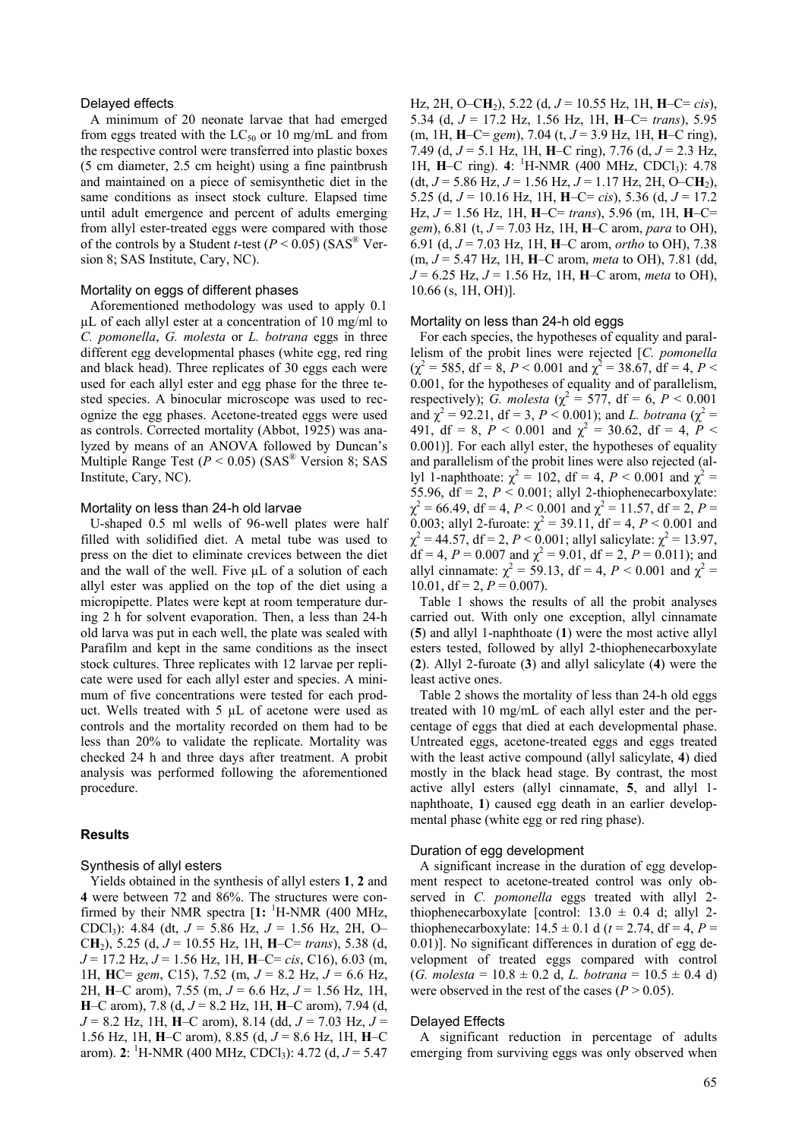## Delayed effects

A minimum of 20 neonate larvae that had emerged from eggs treated with the  $LC_{50}$  or 10 mg/mL and from the respective control were transferred into plastic boxes (5 cm diameter, 2.5 cm height) using a fine paintbrush and maintained on a piece of semisynthetic diet in the same conditions as insect stock culture. Elapsed time until adult emergence and percent of adults emerging from allyl ester-treated eggs were compared with those of the controls by a Student *t*-test ( $P < 0.05$ ) (SAS<sup>®</sup> Version 8; SAS Institute, Cary, NC).

# Mortality on eggs of different phases

Aforementioned methodology was used to apply 0.1 µL of each allyl ester at a concentration of 10 mg/ml to *C. pomonella*, *G. molesta* or *L. botrana* eggs in three different egg developmental phases (white egg, red ring and black head). Three replicates of 30 eggs each were used for each allyl ester and egg phase for the three tested species. A binocular microscope was used to recognize the egg phases. Acetone-treated eggs were used as controls. Corrected mortality (Abbot, 1925) was analyzed by means of an ANOVA followed by Duncan's Multiple Range Test  $(P < 0.05)$  (SAS<sup>®</sup> Version 8; SAS Institute, Cary, NC).

# Mortality on less than 24-h old larvae

U-shaped 0.5 ml wells of 96-well plates were half filled with solidified diet. A metal tube was used to press on the diet to eliminate crevices between the diet and the wall of the well. Five  $\mu$ L of a solution of each allyl ester was applied on the top of the diet using a micropipette. Plates were kept at room temperature during 2 h for solvent evaporation. Then, a less than 24-h old larva was put in each well, the plate was sealed with Parafilm and kept in the same conditions as the insect stock cultures. Three replicates with 12 larvae per replicate were used for each allyl ester and species. A minimum of five concentrations were tested for each product. Wells treated with 5 µL of acetone were used as controls and the mortality recorded on them had to be less than 20% to validate the replicate. Mortality was checked 24 h and three days after treatment. A probit analysis was performed following the aforementioned procedure.

#### **Results**

# Synthesis of allyl esters

Yields obtained in the synthesis of allyl esters **1**, **2** and **4** were between 72 and 86%. The structures were confirmed by their NMR spectra  $[1:$  <sup>1</sup>H-NMR (400 MHz, CDCl3): 4.84 (dt, *J* = 5.86 Hz, *J* = 1.56 Hz, 2H, O– C**H**2), 5.25 (d, *J* = 10.55 Hz, 1H, **H**–C= *trans*), 5.38 (d, *J* = 17.2 Hz, *J* = 1.56 Hz, 1H, **H**–C= *cis*, C16), 6.03 (m, 1H, **H**C= *gem*, C15), 7.52 (m, *J* = 8.2 Hz, *J* = 6.6 Hz, 2H, **H**–C arom), 7.55 (m, *J* = 6.6 Hz, *J* = 1.56 Hz, 1H, **H**–C arom), 7.8 (d, *J* = 8.2 Hz, 1H, **H**–C arom), 7.94 (d, *J* = 8.2 Hz, 1H, **H**–C arom), 8.14 (dd, *J* = 7.03 Hz, *J* = 1.56 Hz, 1H, **H**–C arom), 8.85 (d, *J* = 8.6 Hz, 1H, **H**–C arom). **2**: <sup>1</sup>H-NMR (400 MHz, CDCl<sub>3</sub>): 4.72 (d, *J* = 5.47 Hz, 2H, O–C**H**2), 5.22 (d, *J* = 10.55 Hz, 1H, **H**–C= *cis*), 5.34 (d, *J* = 17.2 Hz, 1.56 Hz, 1H, **H**–C= *trans*), 5.95 (m, 1H, **H**–C= *gem*), 7.04 (t, *J* = 3.9 Hz, 1H, **H**–C ring), 7.49 (d, *J* = 5.1 Hz, 1H, **H**–C ring), 7.76 (d, *J* = 2.3 Hz, 1H, **H**–C ring). **4**: <sup>1</sup>H-NMR (400 MHz, CDCl<sub>3</sub>): 4.78  $(dt, J = 5.86$  Hz,  $J = 1.56$  Hz,  $J = 1.17$  Hz, 2H, O–CH<sub>2</sub>), 5.25 (d, *J* = 10.16 Hz, 1H, **H**–C= *cis*), 5.36 (d, *J* = 17.2 Hz, *J* = 1.56 Hz, 1H, **H**–C= *trans*), 5.96 (m, 1H, **H**–C= *gem*), 6.81 (t, *J* = 7.03 Hz, 1H, **H**–C arom, *para* to OH), 6.91 (d, *J* = 7.03 Hz, 1H, **H**–C arom, *ortho* to OH), 7.38 (m, *J* = 5.47 Hz, 1H, **H**–C arom, *meta* to OH), 7.81 (dd, *J* = 6.25 Hz, *J* = 1.56 Hz, 1H, **H**–C arom, *meta* to OH), 10.66 (s, 1H, OH)].

#### Mortality on less than 24-h old eggs

For each species, the hypotheses of equality and parallelism of the probit lines were rejected [*C. pomonella*  $(\chi^2 = 585, df = 8, P < 0.001 \text{ and } \chi^2 = 38.67, df = 4, P <$ 0.001, for the hypotheses of equality and of parallelism, respectively); *G. molesta* ( $\chi^2 = 577$ , df = 6, *P* < 0.001 and  $\chi^2 = 92.21$ , df = 3, *P* < 0.001); and *L. botrana* ( $\chi^2 =$ 491, df = 8,  $P < 0.001$  and  $\chi^2 = 30.62$ , df = 4,  $P <$ 0.001)]. For each allyl ester, the hypotheses of equality and parallelism of the probit lines were also rejected (allyl 1-naphthoate:  $\chi^2 = 102$ , df = 4,  $P < 0.001$  and  $\chi^2 =$ 55.96,  $df = 2$ ,  $P \le 0.001$ ; allyl 2-thiophenecarboxylate:  $\chi^2$  = 66.49, df = 4, *P* < 0.001 and  $\chi^2$  = 11.57, df = 2, *P* = 0.003; allyl 2-furoate:  $\chi^2 = 39.11$ , df = 4, P < 0.001 and  $\chi^2 = 44.57$ , df = 2, *P* < 0.001; allyl salicylate:  $\chi^2 = 13.97$ ,  $df = 4$ ,  $P = 0.007$  and  $\chi^2 = 9.01$ ,  $df = 2$ ,  $P = 0.011$ ); and allyl cinnamate:  $\chi^2 = 59.13$ , df = 4, *P* < 0.001 and  $\chi^2 =$ 10.01,  $df = 2$ ,  $P = 0.007$ ).

Table 1 shows the results of all the probit analyses carried out. With only one exception, allyl cinnamate (**5**) and allyl 1-naphthoate (**1**) were the most active allyl esters tested, followed by allyl 2-thiophenecarboxylate (**2**). Allyl 2-furoate (**3**) and allyl salicylate (**4**) were the least active ones.

Table 2 shows the mortality of less than 24-h old eggs treated with 10 mg/mL of each allyl ester and the percentage of eggs that died at each developmental phase. Untreated eggs, acetone-treated eggs and eggs treated with the least active compound (allyl salicylate, **4**) died mostly in the black head stage. By contrast, the most active allyl esters (allyl cinnamate, **5**, and allyl 1 naphthoate, **1**) caused egg death in an earlier developmental phase (white egg or red ring phase).

## Duration of egg development

A significant increase in the duration of egg development respect to acetone-treated control was only observed in *C. pomonella* eggs treated with allyl 2 thiophenecarboxylate [control:  $13.0 \pm 0.4$  d; allyl 2thiophenecarboxylate:  $14.5 \pm 0.1$  d ( $t = 2.74$ , df = 4,  $P =$ 0.01)]. No significant differences in duration of egg development of treated eggs compared with control  $(G. molesta = 10.8 \pm 0.2 d, L. botrana = 10.5 \pm 0.4 d)$ were observed in the rest of the cases  $(P > 0.05)$ .

## Delayed Effects

A significant reduction in percentage of adults emerging from surviving eggs was only observed when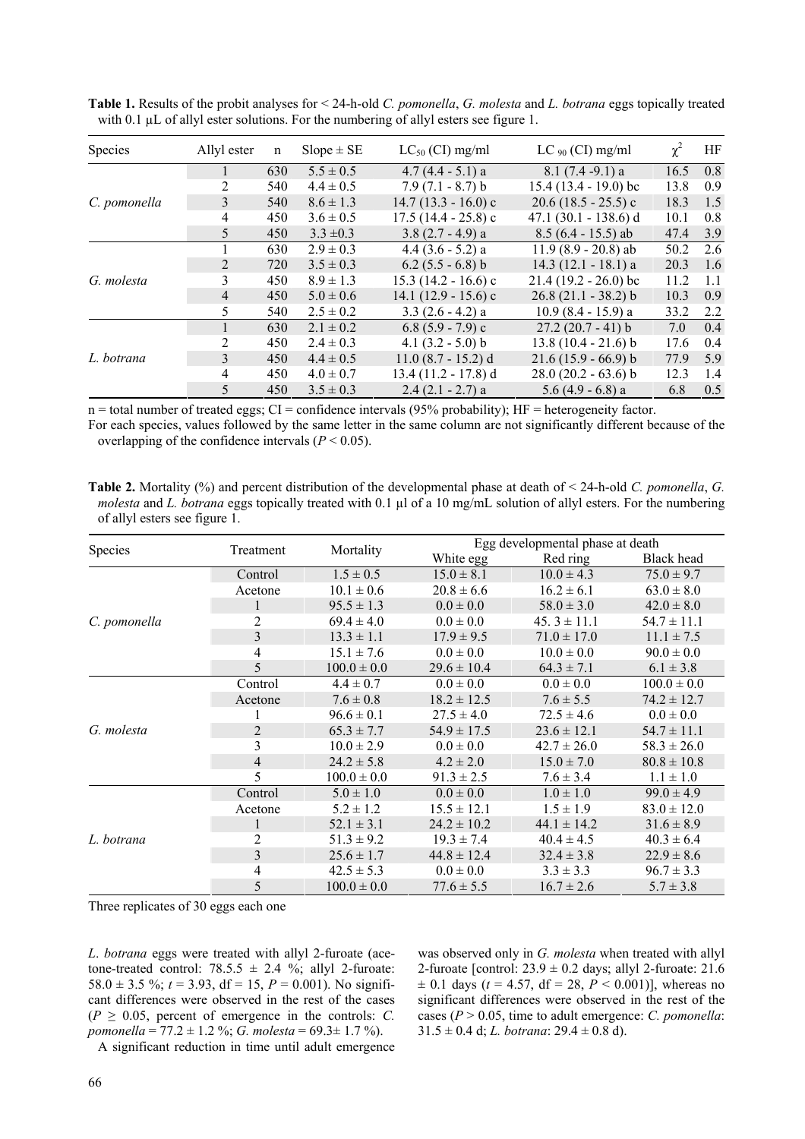| Species      | Allyl ester    | n   | $Slope \pm SE$ | $LC_{50}$ (CI) mg/ml  | LC $_{90}$ (CI) mg/ml   | $\chi^2$ | HF  |
|--------------|----------------|-----|----------------|-----------------------|-------------------------|----------|-----|
| C. pomonella | 1              | 630 | $5.5 \pm 0.5$  | $4.7(4.4 - 5.1)$ a    | $8.1(7.4-9.1)a$         | 16.5     | 0.8 |
|              | 2              | 540 | $4.4 \pm 0.5$  | $7.9(7.1 - 8.7) b$    | $15.4(13.4 - 19.0)$ bc  | 13.8     | 0.9 |
|              | 3              | 540 | $8.6 \pm 1.3$  | $14.7(13.3 - 16.0)$ c | $20.6(18.5 - 25.5)c$    | 18.3     | 1.5 |
|              | 4              | 450 | $3.6 \pm 0.5$  | $17.5(14.4 - 25.8)c$  | 47.1 $(30.1 - 138.6)$ d | 10.1     | 0.8 |
|              | 5              | 450 | $3.3 \pm 0.3$  | $3.8(2.7 - 4.9)$ a    | $8.5(6.4 - 15.5)$ ab    | 47.4     | 3.9 |
| G. molesta   |                | 630 | $2.9 \pm 0.3$  | $4.4(3.6 - 5.2)$ a    | $11.9(8.9 - 20.8)$ ab   | 50.2     | 2.6 |
|              | 2              | 720 | $3.5 \pm 0.3$  | $6.2$ (5.5 - 6.8) b   | $14.3(12.1 - 18.1)$ a   | 20.3     | 1.6 |
|              | 3              | 450 | $8.9 \pm 1.3$  | $15.3(14.2 - 16.6)$ c | $21.4(19.2 - 26.0)$ bc  | 11.2     | 1.1 |
|              | $\overline{4}$ | 450 | $5.0 \pm 0.6$  | 14.1 $(12.9 - 15.6)c$ | $26.8(21.1 - 38.2) b$   | 10.3     | 0.9 |
|              | 5.             | 540 | $2.5 \pm 0.2$  | $3.3(2.6 - 4.2)a$     | $10.9(8.4 - 15.9)$ a    | 33.2     | 2.2 |
| L. botrana   | $\mathbf{1}$   | 630 | $2.1 \pm 0.2$  | $6.8(5.9 - 7.9)c$     | $27.2(20.7 - 41) b$     | 7.0      | 0.4 |
|              | 2              | 450 | $2.4 \pm 0.3$  | 4.1 $(3.2 - 5.0)$ b   | $13.8(10.4 - 21.6) b$   | 17.6     | 0.4 |
|              | 3              | 450 | $4.4 \pm 0.5$  | $11.0(8.7 - 15.2)$ d  | $21.6(15.9 - 66.9) b$   | 77.9     | 5.9 |
|              | 4              | 450 | $4.0 \pm 0.7$  | $13.4(11.2 - 17.8)$ d | $28.0(20.2 - 63.6) b$   | 12.3     | 1.4 |
|              | 5              | 450 | $3.5 \pm 0.3$  | $2.4(2.1 - 2.7)$ a    | $5.6(4.9 - 6.8)$ a      | 6.8      | 0.5 |

**Table 1.** Results of the probit analyses for < 24-h-old *C. pomonella*, *G. molesta* and *L. botrana* eggs topically treated with 0.1  $\mu$ L of allyl ester solutions. For the numbering of allyl esters see figure 1.

 $n =$  total number of treated eggs; CI = confidence intervals (95% probability); HF = heterogeneity factor.

For each species, values followed by the same letter in the same column are not significantly different because of the overlapping of the confidence intervals  $(P < 0.05)$ .

**Table 2.** Mortality (%) and percent distribution of the developmental phase at death of < 24-h-old *C. pomonella*, *G. molesta* and *L. botrana* eggs topically treated with 0.1 µl of a 10 mg/mL solution of allyl esters. For the numbering of allyl esters see figure 1.

| Species      | Treatment      | Mortality       | Egg developmental phase at death |                 |                 |  |
|--------------|----------------|-----------------|----------------------------------|-----------------|-----------------|--|
|              |                |                 | White egg                        | Red ring        | Black head      |  |
|              | Control        | $1.5 \pm 0.5$   | $15.0 \pm 8.1$                   | $10.0 \pm 4.3$  | $75.0 \pm 9.7$  |  |
|              | Acetone        | $10.1 \pm 0.6$  | $20.8 \pm 6.6$                   | $16.2 \pm 6.1$  | $63.0 \pm 8.0$  |  |
|              |                | $95.5 \pm 1.3$  | $0.0 \pm 0.0$                    | $58.0 \pm 3.0$  | $42.0 \pm 8.0$  |  |
| C. pomonella | $\overline{c}$ | $69.4 \pm 4.0$  | $0.0 \pm 0.0$                    | $45.3 \pm 11.1$ | $54.7 \pm 11.1$ |  |
|              | 3              | $13.3 \pm 1.1$  | $17.9 \pm 9.5$                   | $71.0 \pm 17.0$ | $11.1 \pm 7.5$  |  |
|              | 4              | $15.1 \pm 7.6$  | $0.0 \pm 0.0$                    | $10.0 \pm 0.0$  | $90.0 \pm 0.0$  |  |
|              | 5              | $100.0 \pm 0.0$ | $29.6 \pm 10.4$                  | $64.3 \pm 7.1$  | $6.1 \pm 3.8$   |  |
|              | Control        | $4.4 \pm 0.7$   | $0.0 \pm 0.0$                    | $0.0 \pm 0.0$   | $100.0 \pm 0.0$ |  |
|              | Acetone        | $7.6 \pm 0.8$   | $18.2 \pm 12.5$                  | $7.6 \pm 5.5$   | $74.2 \pm 12.7$ |  |
|              |                | $96.6 \pm 0.1$  | $27.5 \pm 4.0$                   | $72.5 \pm 4.6$  | $0.0 \pm 0.0$   |  |
| G. molesta   | $\overline{2}$ | $65.3 \pm 7.7$  | $54.9 \pm 17.5$                  | $23.6 \pm 12.1$ | $54.7 \pm 11.1$ |  |
|              | 3              | $10.0 \pm 2.9$  | $0.0 \pm 0.0$                    | $42.7 \pm 26.0$ | $58.3 \pm 26.0$ |  |
|              | $\overline{4}$ | $24.2 \pm 5.8$  | $4.2 \pm 2.0$                    | $15.0 \pm 7.0$  | $80.8 \pm 10.8$ |  |
|              | 5              | $100.0 \pm 0.0$ | $91.3 \pm 2.5$                   | $7.6 \pm 3.4$   | $1.1 \pm 1.0$   |  |
|              | Control        | $5.0 \pm 1.0$   | $0.0 \pm 0.0$                    | $1.0 \pm 1.0$   | $99.0 \pm 4.9$  |  |
|              | Acetone        | $5.2 \pm 1.2$   | $15.5 \pm 12.1$                  | $1.5 \pm 1.9$   | $83.0 \pm 12.0$ |  |
|              |                | $52.1 \pm 3.1$  | $24.2 \pm 10.2$                  | $44.1 \pm 14.2$ | $31.6 \pm 8.9$  |  |
| L. botrana   | $\overline{c}$ | $51.3 \pm 9.2$  | $19.3 \pm 7.4$                   | $40.4 \pm 4.5$  | $40.3 \pm 6.4$  |  |
|              | 3              | $25.6 \pm 1.7$  | $44.8 \pm 12.4$                  | $32.4 \pm 3.8$  | $22.9 \pm 8.6$  |  |
|              | 4              | $42.5 \pm 5.3$  | $0.0 \pm 0.0$                    | $3.3 \pm 3.3$   | $96.7 \pm 3.3$  |  |
|              | 5              | $100.0 \pm 0.0$ | $77.6 \pm 5.5$                   | $16.7 \pm 2.6$  | $5.7 \pm 3.8$   |  |

Three replicates of 30 eggs each one

*L*. *botrana* eggs were treated with allyl 2-furoate (acetone-treated control:  $78.5.5 \pm 2.4$  %; allyl 2-furoate: 58.0  $\pm$  3.5 %;  $t = 3.93$ , df = 15,  $P = 0.001$ ). No significant differences were observed in the rest of the cases  $(P \geq 0.05$ , percent of emergence in the controls: *C*. *pomonella* = 77.2 ± 1.2 %; *G. molesta* = 69.3± 1.7 %).

A significant reduction in time until adult emergence

was observed only in *G. molesta* when treated with allyl 2-furoate [control:  $23.9 \pm 0.2$  days; allyl 2-furoate: 21.6  $\pm$  0.1 days (*t* = 4.57, df = 28, *P* < 0.001)], whereas no significant differences were observed in the rest of the cases (*P* > 0.05, time to adult emergence: *C. pomonella*:  $31.5 \pm 0.4$  d; *L. botrana*:  $29.4 \pm 0.8$  d).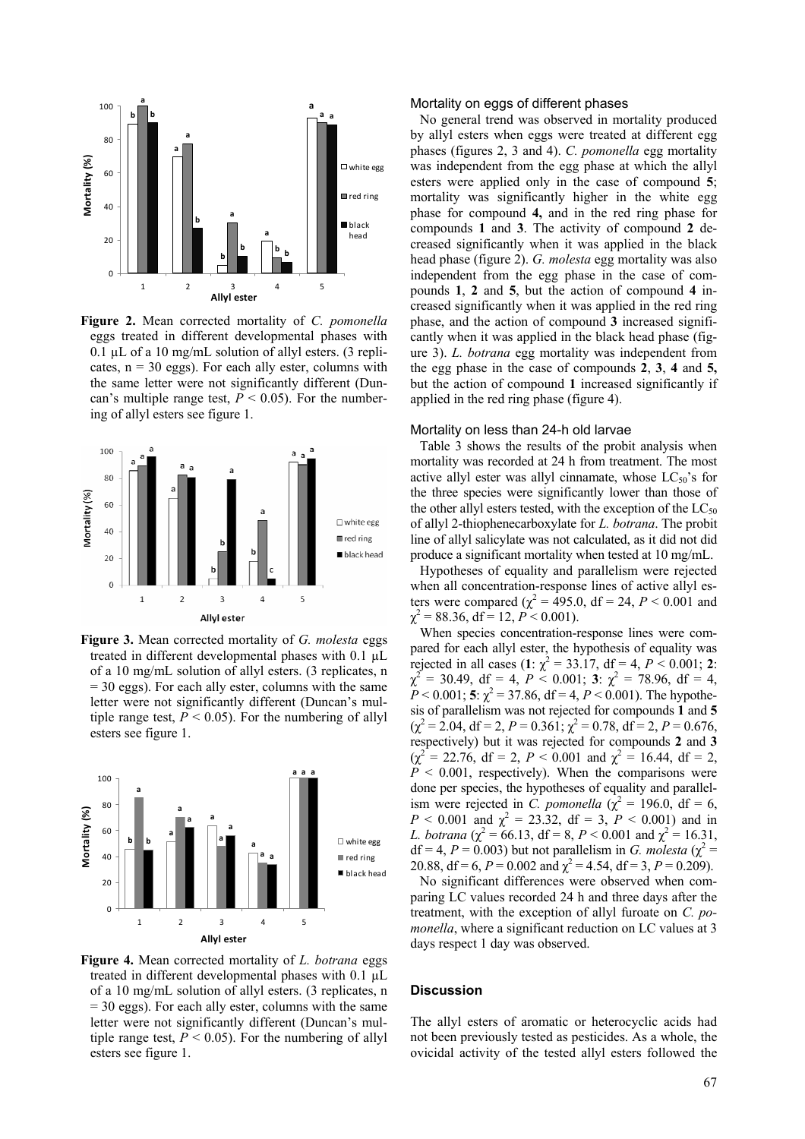

**Figure 2.** Mean corrected mortality of *C. pomonella* eggs treated in different developmental phases with 0.1  $\mu$ L of a 10 mg/mL solution of allyl esters. (3 replicates,  $n = 30$  eggs). For each ally ester, columns with the same letter were not significantly different (Duncan's multiple range test,  $P < 0.05$ ). For the numbering of allyl esters see figure 1.



**Figure 3.** Mean corrected mortality of *G. molesta* eggs treated in different developmental phases with 0.1 µL of a 10 mg/mL solution of allyl esters. (3 replicates, n  $= 30$  eggs). For each ally ester, columns with the same letter were not significantly different (Duncan's multiple range test,  $P < 0.05$ ). For the numbering of allyl esters see figure 1.



**Figure 4.** Mean corrected mortality of *L. botrana* eggs treated in different developmental phases with 0.1 µL of a 10 mg/mL solution of allyl esters. (3 replicates, n  $= 30$  eggs). For each ally ester, columns with the same letter were not significantly different (Duncan's multiple range test,  $P < 0.05$ ). For the numbering of allyl esters see figure 1.

#### Mortality on eggs of different phases

No general trend was observed in mortality produced by allyl esters when eggs were treated at different egg phases (figures 2, 3 and 4). *C. pomonella* egg mortality was independent from the egg phase at which the allyl esters were applied only in the case of compound **5**; mortality was significantly higher in the white egg phase for compound **4,** and in the red ring phase for compounds **1** and **3**. The activity of compound **2** decreased significantly when it was applied in the black head phase (figure 2). *G. molesta* egg mortality was also independent from the egg phase in the case of compounds **1**, **2** and **5**, but the action of compound **4** increased significantly when it was applied in the red ring phase, and the action of compound **3** increased significantly when it was applied in the black head phase (figure 3). *L. botrana* egg mortality was independent from the egg phase in the case of compounds **2**, **3**, **4** and **5,** but the action of compound **1** increased significantly if applied in the red ring phase (figure 4).

## Mortality on less than 24-h old larvae

Table 3 shows the results of the probit analysis when mortality was recorded at 24 h from treatment. The most active allyl ester was allyl cinnamate, whose  $LC_{50}$ 's for the three species were significantly lower than those of the other allyl esters tested, with the exception of the  $LC_{50}$ of allyl 2-thiophenecarboxylate for *L. botrana*. The probit line of allyl salicylate was not calculated, as it did not did produce a significant mortality when tested at 10 mg/mL.

Hypotheses of equality and parallelism were rejected when all concentration-response lines of active allyl esters were compared ( $\chi^2 = 495.0$ , df = 24, *P* < 0.001 and  $\chi^2$  = 88.36, df = 12, *P* < 0.001).

When species concentration-response lines were compared for each allyl ester, the hypothesis of equality was rejected in all cases  $(1: \chi^2 = 33.17, df = 4, P < 0.001; 2$ :  $\chi^2 = 30.49$ , df = 4,  $P \le 0.001$ ; **3**:  $\chi^2 = 78.96$ , df = 4,  $P < 0.001$ ; **5**:  $\chi^2 = 37.86$ , df = 4,  $P < 0.001$ ). The hypothesis of parallelism was not rejected for compounds **1** and **5**  $(\chi^2 = 2.04, df = 2, P = 0.361; \chi^2 = 0.78, df = 2, P = 0.676,$ respectively) but it was rejected for compounds **2** and **3**  $(\chi^2 = 22.76, df = 2, P < 0.001 \text{ and } \chi^2 = 16.44, df = 2,$  $P \leq 0.001$ , respectively). When the comparisons were done per species, the hypotheses of equality and parallelism were rejected in *C. pomonella* ( $\chi^2$  = 196.0, df = 6,  $P < 0.001$  and  $\chi^2 = 23.32$ , df = 3,  $P < 0.001$ ) and in *L. botrana* ( $\chi^2 = 66.13$ , df = 8, *P* < 0.001 and  $\chi^2 = 16.31$ ,  $df = 4$ ,  $P = 0.003$ ) but not parallelism in *G. molesta* ( $\chi^2 =$ 20.88, df = 6,  $P = 0.002$  and  $\chi^2 = 4.54$ , df = 3,  $P = 0.209$ ).

No significant differences were observed when comparing LC values recorded 24 h and three days after the treatment, with the exception of allyl furoate on *C. pomonella*, where a significant reduction on LC values at 3 days respect 1 day was observed.

# **Discussion**

The allyl esters of aromatic or heterocyclic acids had not been previously tested as pesticides. As a whole, the ovicidal activity of the tested allyl esters followed the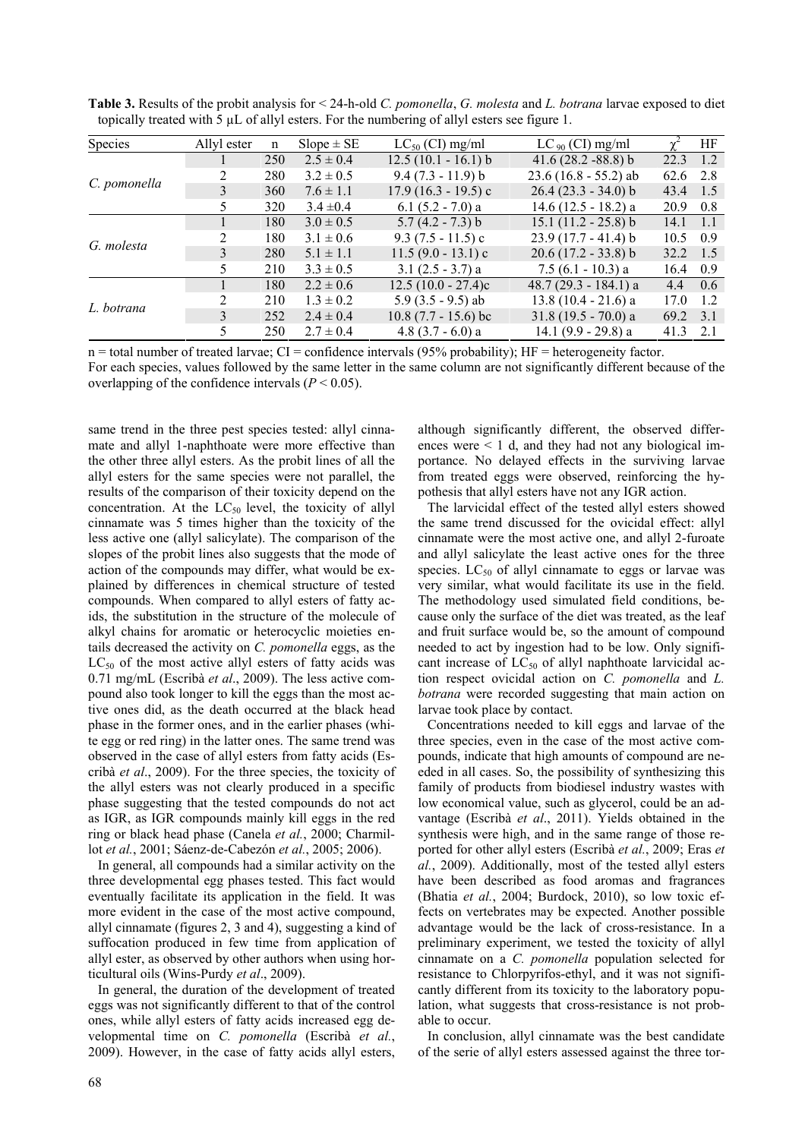| <b>Species</b> | Allyl ester    | n   | $Slope \pm SE$ | $LC_{50}$ (CI) mg/ml  | $LC_{90}$ (CI) mg/ml   |                  | HF  |
|----------------|----------------|-----|----------------|-----------------------|------------------------|------------------|-----|
| C. pomonella   |                | 250 | $2.5 \pm 0.4$  | $12.5(10.1 - 16.1) b$ | $41.6(28.2 - 88.8)$ b  | $22.3 \quad 1.2$ |     |
|                |                | 280 | $3.2 \pm 0.5$  | $9.4(7.3 - 11.9) b$   | $23.6(16.8 - 55.2)$ ab | 62.6 2.8         |     |
|                | 3              | 360 | $7.6 \pm 1.1$  | $17.9(16.3 - 19.5)c$  | $26.4(23.3 - 34.0) b$  | 43.4             | 1.5 |
|                | 5.             | 320 | $3.4 \pm 0.4$  | 6.1 $(5.2 - 7.0)$ a   | $14.6(12.5 - 18.2)$ a  | 20.9             | 0.8 |
| G. molesta     |                | 180 | $3.0 \pm 0.5$  | $5.7(4.2 - 7.3)$ b    | $15.1(11.2 - 25.8) b$  | $14.1 \quad 1.1$ |     |
|                | 2              | 180 | $3.1 \pm 0.6$  | $9.3 (7.5 - 11.5)$ c  | $23.9(17.7 - 41.4) b$  | 10.5             | 0.9 |
|                | $\mathcal{E}$  | 280 | $5.1 \pm 1.1$  | $11.5(9.0 - 13.1)c$   | $20.6(17.2 - 33.8) b$  | 32.2             | 1.5 |
|                | 5.             | 210 | $3.3 \pm 0.5$  | $3.1(2.5 - 3.7)$ a    | $7.5(6.1 - 10.3)$ a    | 16.4             | 0.9 |
| L. botrana     |                | 180 | $2.2 \pm 0.6$  | $12.5(10.0 - 27.4)c$  | 48.7 (29.3 - 184.1) a  | 4.4              | 0.6 |
|                | $\overline{2}$ | 210 | $1.3 \pm 0.2$  | $5.9$ (3.5 - 9.5) ab  | $13.8(10.4 - 21.6)$ a  | 17.0             | 1.2 |
|                | $\mathcal{E}$  | 252 | $2.4 \pm 0.4$  | $10.8(7.7 - 15.6)$ bc | $31.8(19.5 - 70.0)$ a  | 69.2             | 3.1 |
|                | 5.             | 250 | $2.7 \pm 0.4$  | 4.8 $(3.7 - 6.0)$ a   | 14.1 $(9.9 - 29.8)$ a  | $41.3$ 2.1       |     |

**Table 3.** Results of the probit analysis for < 24-h-old *C. pomonella*, *G. molesta* and *L. botrana* larvae exposed to diet topically treated with 5 µL of allyl esters. For the numbering of allyl esters see figure 1.

 $n =$  total number of treated larvae; CI = confidence intervals (95% probability); HF = heterogeneity factor. For each species, values followed by the same letter in the same column are not significantly different because of the overlapping of the confidence intervals  $(P < 0.05)$ .

same trend in the three pest species tested: allyl cinnamate and allyl 1-naphthoate were more effective than the other three allyl esters. As the probit lines of all the allyl esters for the same species were not parallel, the results of the comparison of their toxicity depend on the concentration. At the  $LC_{50}$  level, the toxicity of allyl cinnamate was 5 times higher than the toxicity of the less active one (allyl salicylate). The comparison of the slopes of the probit lines also suggests that the mode of action of the compounds may differ, what would be explained by differences in chemical structure of tested compounds. When compared to allyl esters of fatty acids, the substitution in the structure of the molecule of alkyl chains for aromatic or heterocyclic moieties entails decreased the activity on *C. pomonella* eggs, as the  $LC_{50}$  of the most active allyl esters of fatty acids was 0.71 mg/mL (Escribà *et al*., 2009). The less active compound also took longer to kill the eggs than the most active ones did, as the death occurred at the black head phase in the former ones, and in the earlier phases (white egg or red ring) in the latter ones. The same trend was observed in the case of allyl esters from fatty acids (Escribà *et al*., 2009). For the three species, the toxicity of the allyl esters was not clearly produced in a specific phase suggesting that the tested compounds do not act as IGR, as IGR compounds mainly kill eggs in the red ring or black head phase (Canela *et al.*, 2000; Charmillot *et al.*, 2001; Sáenz-de-Cabezón *et al.*, 2005; 2006).

In general, all compounds had a similar activity on the three developmental egg phases tested. This fact would eventually facilitate its application in the field. It was more evident in the case of the most active compound, allyl cinnamate (figures 2, 3 and 4), suggesting a kind of suffocation produced in few time from application of allyl ester, as observed by other authors when using horticultural oils (Wins-Purdy *et al*., 2009).

In general, the duration of the development of treated eggs was not significantly different to that of the control ones, while allyl esters of fatty acids increased egg developmental time on *C. pomonella* (Escribà *et al.*, 2009). However, in the case of fatty acids allyl esters, although significantly different, the observed differences were  $\leq 1$  d, and they had not any biological importance. No delayed effects in the surviving larvae from treated eggs were observed, reinforcing the hypothesis that allyl esters have not any IGR action.

The larvicidal effect of the tested allyl esters showed the same trend discussed for the ovicidal effect: allyl cinnamate were the most active one, and allyl 2-furoate and allyl salicylate the least active ones for the three species.  $LC_{50}$  of allyl cinnamate to eggs or larvae was very similar, what would facilitate its use in the field. The methodology used simulated field conditions, because only the surface of the diet was treated, as the leaf and fruit surface would be, so the amount of compound needed to act by ingestion had to be low. Only significant increase of  $LC_{50}$  of allyl naphthoate larvicidal action respect ovicidal action on *C. pomonella* and *L. botrana* were recorded suggesting that main action on larvae took place by contact.

Concentrations needed to kill eggs and larvae of the three species, even in the case of the most active compounds, indicate that high amounts of compound are needed in all cases. So, the possibility of synthesizing this family of products from biodiesel industry wastes with low economical value, such as glycerol, could be an advantage (Escribà *et al*., 2011). Yields obtained in the synthesis were high, and in the same range of those reported for other allyl esters (Escribà *et al.*, 2009; Eras *et al.*, 2009). Additionally, most of the tested allyl esters have been described as food aromas and fragrances (Bhatia *et al.*, 2004; Burdock, 2010), so low toxic effects on vertebrates may be expected. Another possible advantage would be the lack of cross-resistance. In a preliminary experiment, we tested the toxicity of allyl cinnamate on a *C. pomonella* population selected for resistance to Chlorpyrifos-ethyl, and it was not significantly different from its toxicity to the laboratory population, what suggests that cross-resistance is not probable to occur.

In conclusion, allyl cinnamate was the best candidate of the serie of allyl esters assessed against the three tor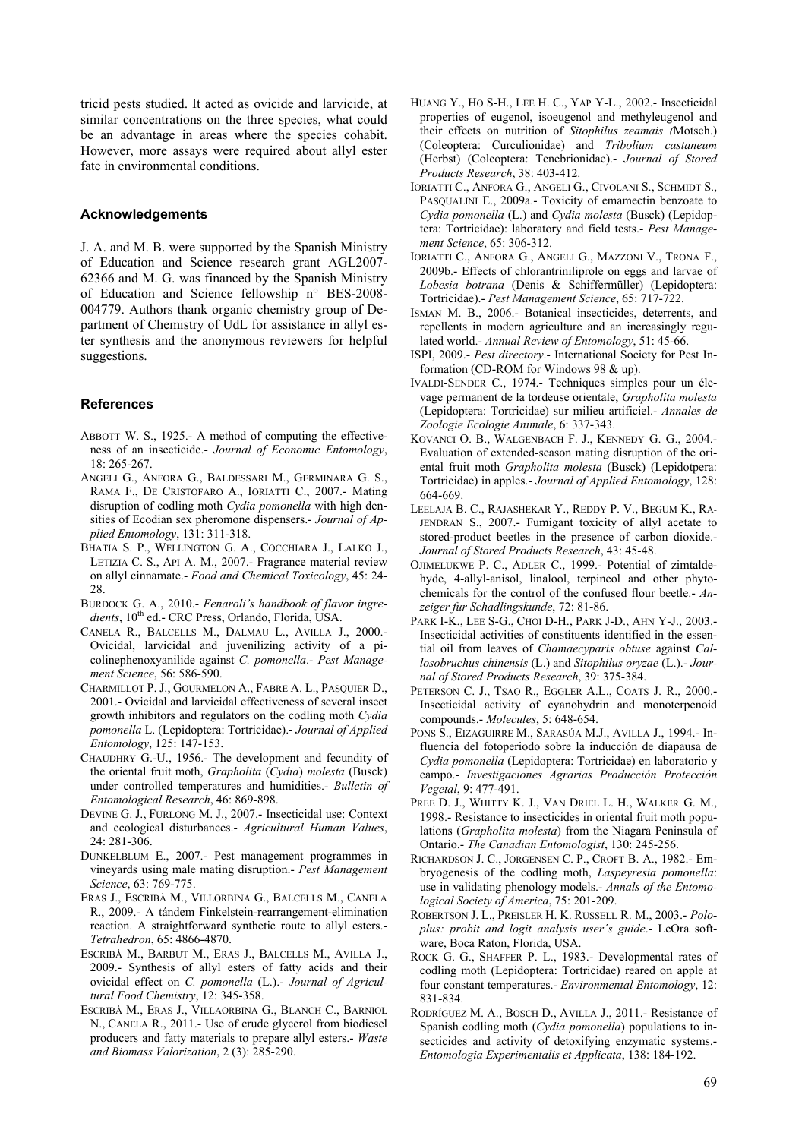tricid pests studied. It acted as ovicide and larvicide, at similar concentrations on the three species, what could be an advantage in areas where the species cohabit. However, more assays were required about allyl ester fate in environmental conditions.

# **Acknowledgements**

J. A. and M. B. were supported by the Spanish Ministry of Education and Science research grant AGL2007- 62366 and M. G. was financed by the Spanish Ministry of Education and Science fellowship n° BES-2008- 004779. Authors thank organic chemistry group of Department of Chemistry of UdL for assistance in allyl ester synthesis and the anonymous reviewers for helpful suggestions.

# **References**

- ABBOTT W. S., 1925.- A method of computing the effectiveness of an insecticide.- *Journal of Economic Entomology*, 18: 265-267.
- ANGELI G., ANFORA G., BALDESSARI M., GERMINARA G. S., RAMA F., DE CRISTOFARO A., IORIATTI C., 2007.- Mating disruption of codling moth *Cydia pomonella* with high densities of Ecodian sex pheromone dispensers.- *Journal of Applied Entomology*, 131: 311-318.
- BHATIA S. P., WELLINGTON G. A., COCCHIARA J., LALKO J., LETIZIA C. S., API A. M., 2007.- Fragrance material review on allyl cinnamate.- *Food and Chemical Toxicology*, 45: 24- 28.
- BURDOCK G. A., 2010.- *Fenaroli's handbook of flavor ingre*dients, 10<sup>th</sup> ed.- CRC Press, Orlando, Florida, USA.
- CANELA R., BALCELLS M., DALMAU L., AVILLA J., 2000.- Ovicidal, larvicidal and juvenilizing activity of a picolinephenoxyanilide against *C. pomonella*.- *Pest Management Science*, 56: 586-590.
- CHARMILLOT P. J., GOURMELON A., FABRE A. L., PASQUIER D., 2001.- Ovicidal and larvicidal effectiveness of several insect growth inhibitors and regulators on the codling moth *Cydia pomonella* L. (Lepidoptera: Tortricidae).- *Journal of Applied Entomology*, 125: 147-153.
- CHAUDHRY G.-U., 1956.- The development and fecundity of the oriental fruit moth, *Grapholita* (*Cydia*) *molesta* (Busck) under controlled temperatures and humidities.- *Bulletin of Entomological Research*, 46: 869-898.
- DEVINE G. J., FURLONG M. J., 2007.- Insecticidal use: Context and ecological disturbances.- *Agricultural Human Values*, 24: 281-306.
- DUNKELBLUM E., 2007.- Pest management programmes in vineyards using male mating disruption.- *Pest Management Science*, 63: 769-775.
- ERAS J., ESCRIBÀ M., VILLORBINA G., BALCELLS M., CANELA R., 2009.- A tándem Finkelstein-rearrangement-elimination reaction. A straightforward synthetic route to allyl esters.- *Tetrahedron*, 65: 4866-4870.
- ESCRIBÀ M., BARBUT M., ERAS J., BALCELLS M., AVILLA J., 2009.- Synthesis of allyl esters of fatty acids and their ovicidal effect on *C. pomonella* (L.).- *Journal of Agricultural Food Chemistry*, 12: 345-358.
- ESCRIBÀ M., ERAS J., VILLAORBINA G., BLANCH C., BARNIOL N., CANELA R., 2011.- Use of crude glycerol from biodiesel producers and fatty materials to prepare allyl esters.- *Waste and Biomass Valorization*, 2 (3): 285-290.
- HUANG Y., HO S-H., LEE H. C., YAP Y-L., 2002.- Insecticidal properties of eugenol, isoeugenol and methyleugenol and their effects on nutrition of *Sitophilus zeamais (*Motsch.) (Coleoptera: Curculionidae) and *Tribolium castaneum* (Herbst) (Coleoptera: Tenebrionidae).- *Journal of Stored Products Research*, 38: 403-412.
- IORIATTI C., ANFORA G., ANGELI G., CIVOLANI S., SCHMIDT S., PASQUALINI E., 2009a.- Toxicity of emamectin benzoate to *Cydia pomonella* (L.) and *Cydia molesta* (Busck) (Lepidoptera: Tortricidae): laboratory and field tests.- *Pest Management Science*, 65: 306-312.
- IORIATTI C., ANFORA G., ANGELI G., MAZZONI V., TRONA F., 2009b.- Effects of chlorantriniliprole on eggs and larvae of *Lobesia botrana* (Denis & Schiffermüller) (Lepidoptera: Tortricidae).- *Pest Management Science*, 65: 717-722.
- ISMAN M. B., 2006.- Botanical insecticides, deterrents, and repellents in modern agriculture and an increasingly regulated world.- *Annual Review of Entomology*, 51: 45-66.
- ISPI, 2009.- *Pest directory*.- International Society for Pest Information (CD-ROM for Windows 98 & up).
- IVALDI-SENDER C., 1974.- Techniques simples pour un élevage permanent de la tordeuse orientale, *Grapholita molesta* (Lepidoptera: Tortricidae) sur milieu artificiel.- *Annales de Zoologie Ecologie Animale*, 6: 337-343.
- KOVANCI O. B., WALGENBACH F. J., KENNEDY G. G., 2004.- Evaluation of extended-season mating disruption of the oriental fruit moth *Grapholita molesta* (Busck) (Lepidotpera: Tortricidae) in apples.- *Journal of Applied Entomology*, 128: 664-669.
- LEELAJA B. C., RAJASHEKAR Y., REDDY P. V., BEGUM K., RA-JENDRAN S., 2007.- Fumigant toxicity of allyl acetate to stored-product beetles in the presence of carbon dioxide.- *Journal of Stored Products Research*, 43: 45-48.
- OJIMELUKWE P. C., ADLER C., 1999.- Potential of zimtaldehyde, 4-allyl-anisol, linalool, terpineol and other phytochemicals for the control of the confused flour beetle.- *Anzeiger fur Schadlingskunde*, 72: 81-86.
- PARK I-K., LEE S-G., CHOI D-H., PARK J-D., AHN Y-J., 2003.- Insecticidal activities of constituents identified in the essential oil from leaves of *Chamaecyparis obtuse* against *Callosobruchus chinensis* (L.) and *Sitophilus oryzae* (L.).- *Journal of Stored Products Research*, 39: 375-384.
- PETERSON C. J., TSAO R., EGGLER A.L., COATS J. R., 2000.- Insecticidal activity of cyanohydrin and monoterpenoid compounds.- *Molecules*, 5: 648-654.
- PONS S., EIZAGUIRRE M., SARASÚA M.J., AVILLA J., 1994.- Influencia del fotoperiodo sobre la inducción de diapausa de *Cydia pomonella* (Lepidoptera: Tortricidae) en laboratorio y campo.- *Investigaciones Agrarias Producción Protección Vegetal*, 9: 477-491.
- PREE D. J., WHITTY K. J., VAN DRIEL L. H., WALKER G. M., 1998.- Resistance to insecticides in oriental fruit moth populations (*Grapholita molesta*) from the Niagara Peninsula of Ontario.- *The Canadian Entomologist*, 130: 245-256.
- RICHARDSON J. C., JORGENSEN C. P., CROFT B. A., 1982.- Embryogenesis of the codling moth, *Laspeyresia pomonella*: use in validating phenology models.- *Annals of the Entomological Society of America*, 75: 201-209.
- ROBERTSON J. L., PREISLER H. K. RUSSELL R. M., 2003.- *Poloplus: probit and logit analysis user´s guide*.- LeOra software, Boca Raton, Florida, USA.
- ROCK G. G., SHAFFER P. L., 1983.- Developmental rates of codling moth (Lepidoptera: Tortricidae) reared on apple at four constant temperatures.- *Environmental Entomology*, 12: 831-834.
- RODRÍGUEZ M. A., BOSCH D., AVILLA J., 2011.- Resistance of Spanish codling moth (*Cydia pomonella*) populations to insecticides and activity of detoxifying enzymatic systems.- *Entomologia Experimentalis et Applicata*, 138: 184-192.